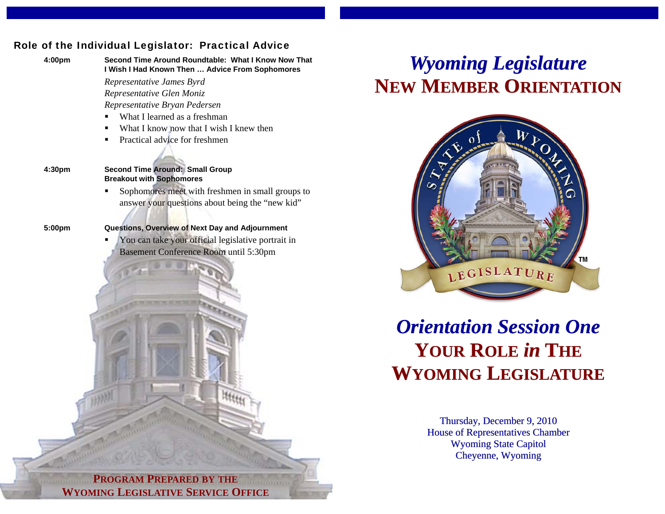### Role of the Individual Legislator: Practical Advice



**4:00pm Second Time Around Roundtable: What I Know Now That I Wish I Had Known Then … Advice From Sophomores** 

> *Representative James Byrd Representative Glen Moniz*

*Representative Bryan Pedersen* 

- What I learned as a freshman
- What I know now that I wish I knew then
- Practical advice for freshmen
- 

### **4:30pm Second Time Around: Small Group Breakout with Sophomores**

 Sophomores meet with freshmen in small groups to answer your questions about being the "new kid"

### **5:00pm Questions, Overview of Next Day and Adjournment**

 You can take your official legislative portrait in Basement Conference Room until 5:30pm

# *Wyoming Legislature* **NEW MEMBER ORIENTATION**



# *Orientation Session One***YOUR ROLE** *in* **THE WYOMING LEGISLATURE**

Thursday, December 9, 2010 House of Representatives Chamber Wyoming State Capitol Cheyenne, Wyoming

**PROGRAM PREPARED BY THE WYOMING LEGISLATIVE SERVICE OFFICE**